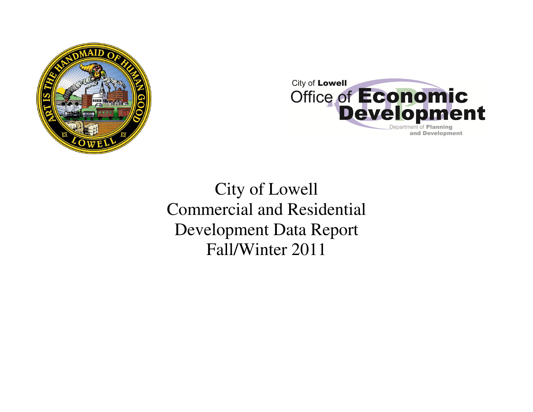



City of Lowell Commercial and Residential Development Data Report Fall/Winter 2011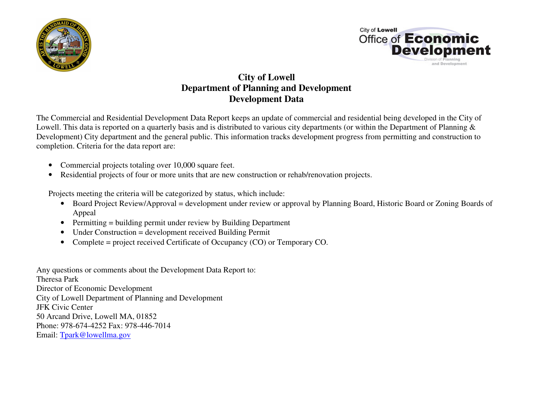



# **City of Lowell Department of Planning and Development Development Data**

The Commercial and Residential Development Data Report keeps an update of commercial and residential being developed in the City of Lowell. This data is reported on a quarterly basis and is distributed to various city departments (or within the Department of Planning  $\&$  Development) City department and the general public. This information tracks development progress from permitting and construction to completion. Criteria for the data report are:

- Commercial projects totaling over 10,000 square feet.
- •Residential projects of four or more units that are new construction or rehab/renovation projects.

Projects meeting the criteria will be categorized by status, which include:

- Board Project Review/Approval = development under review or approval by Planning Board, Historic Board or Zoning Boards of Appeal
- Permitting = building permit under review by Building Department
- Under Construction = development received Building Permit
- Complete = project received Certificate of Occupancy (CO) or Temporary CO.

Any questions or comments about the Development Data Report to: Theresa Park Director of Economic Development City of Lowell Department of Planning and Development JFK Civic Center 50 Arcand Drive, Lowell MA, 01852 Phone: 978-674-4252 Fax: 978-446-7014 Email: Tpark@lowellma.gov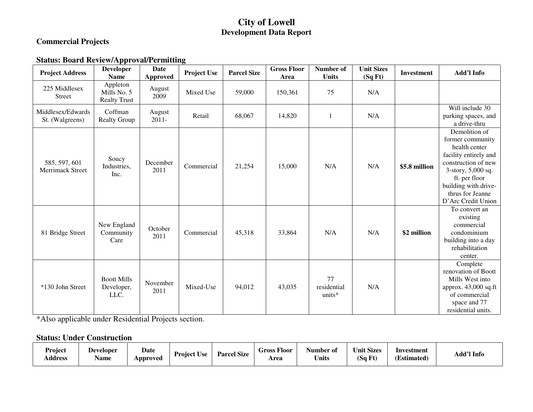# **City of Lowell Development Data Report**

## **Commercial Projects**

## **Status: Board Review/Approval/Permitting**

| <b>Project Address</b>                   | <b>Developer</b><br><b>Name</b>                | <b>Date</b><br><b>Approved</b> | <b>Project Use</b> | <b>Parcel Size</b> | <b>Gross Floor</b><br>Area | Number of<br><b>Units</b>   | <b>Unit Sizes</b><br>(SqFt) | <b>Investment</b> | Add'l Info                                                                                                                                                                                                  |
|------------------------------------------|------------------------------------------------|--------------------------------|--------------------|--------------------|----------------------------|-----------------------------|-----------------------------|-------------------|-------------------------------------------------------------------------------------------------------------------------------------------------------------------------------------------------------------|
| 225 Middlesex<br><b>Street</b>           | Appleton<br>Mills No. 5<br><b>Realty Trust</b> | August<br>2009                 | Mixed Use          | 59,000             | 150,361                    | 75                          | N/A                         |                   |                                                                                                                                                                                                             |
| Middlesex/Edwards<br>St. (Walgreens)     | Coffman<br><b>Realty Group</b>                 | August<br>$2011 -$             | Retail             | 68,067             | 14,820                     | $\mathbf{1}$                | N/A                         |                   | Will include 30<br>parking spaces, and<br>a drive-thru                                                                                                                                                      |
| 585, 597, 601<br><b>Merrimack Street</b> | Soucy<br>Industries,<br>Inc.                   | December<br>2011               | Commercial         | 21,254             | 15,000                     | N/A                         | N/A                         | \$5.8 million     | Demolition of<br>former community<br>health center<br>facility entirely and<br>construction of new<br>3-story, 5,000 sq.<br>ft. per floor<br>building with drive-<br>thrus for Jeanne<br>D'Arc Credit Union |
| 81 Bridge Street                         | New England<br>Community<br>Care               | October<br>2011                | Commercial         | 45,318             | 33,864                     | N/A                         | N/A                         | \$2 million       | To convert an<br>existing<br>commercial<br>condominium<br>building into a day<br>rehabilitation<br>center.                                                                                                  |
| *130 John Street                         | <b>Boott Mills</b><br>Developer,<br>LLC.       | November<br>2011               | Mixed-Use          | 94,012             | 43,035                     | 77<br>residential<br>units* | N/A                         |                   | Complete<br>renovation of Boott<br>Mills West into<br>approx. 43,000 sq.ft<br>of commercial<br>space and 77<br>residential units.                                                                           |

\*Also applicable under Residential Projects section.

### **Status: Under Construction**

| Project<br>. .<br>Address | Developer<br>$\mathbf{H}$<br>Name | Date<br>Approved | <b>Project Use</b> | <b>Parcel Size</b> | Floor<br>Gross<br>Area | Number of<br><b>Units</b> | <b>Unit Sizes</b><br>$\epsilon$<br>(Sq Ft) | Investment<br>Estimated i | Add'l Info |
|---------------------------|-----------------------------------|------------------|--------------------|--------------------|------------------------|---------------------------|--------------------------------------------|---------------------------|------------|
|---------------------------|-----------------------------------|------------------|--------------------|--------------------|------------------------|---------------------------|--------------------------------------------|---------------------------|------------|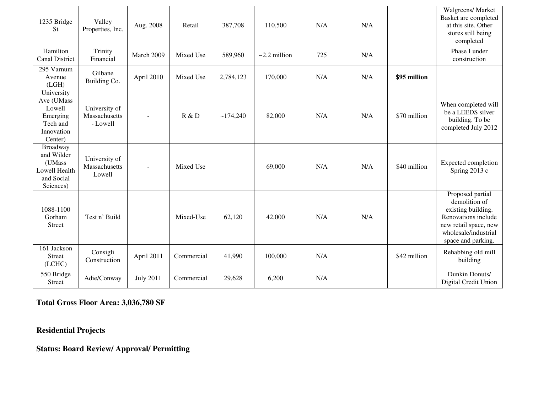| 1235 Bridge<br>St                                                                   | Valley<br>Properties, Inc.                 | Aug. 2008                | Retail     | 387,708   | 110,500            | N/A | N/A |              | Walgreens/ Market<br>Basket are completed<br>at this site. Other<br>stores still being<br>completed                                                   |
|-------------------------------------------------------------------------------------|--------------------------------------------|--------------------------|------------|-----------|--------------------|-----|-----|--------------|-------------------------------------------------------------------------------------------------------------------------------------------------------|
| Hamilton<br><b>Canal District</b>                                                   | Trinity<br>Financial                       | March 2009               | Mixed Use  | 589,960   | $\sim$ 2.2 million | 725 | N/A |              | Phase I under<br>construction                                                                                                                         |
| 295 Varnum<br>Avenue<br>(LGH)                                                       | Gilbane<br>Building Co.                    | April 2010               | Mixed Use  | 2,784,123 | 170,000            | N/A | N/A | \$95 million |                                                                                                                                                       |
| University<br>Ave (UMass<br>Lowell<br>Emerging<br>Tech and<br>Innovation<br>Center) | University of<br>Massachusetts<br>- Lowell | $\overline{a}$           | R & D      | ~174,240  | 82,000             | N/A | N/A | \$70 million | When completed will<br>be a LEEDS silver<br>building. To be<br>completed July 2012                                                                    |
| Broadway<br>and Wilder<br>(UMass<br>Lowell Health<br>and Social<br>Sciences)        | University of<br>Massachusetts<br>Lowell   | $\overline{\phantom{a}}$ | Mixed Use  |           | 69,000             | N/A | N/A | \$40 million | Expected completion<br>Spring 2013 c                                                                                                                  |
| 1088-1100<br>Gorham<br>Street                                                       | Test n' Build                              |                          | Mixed-Use  | 62,120    | 42,000             | N/A | N/A |              | Proposed partial<br>demolition of<br>existing building.<br>Renovations include<br>new retail space, new<br>wholesale/industrial<br>space and parking. |
| 161 Jackson<br><b>Street</b><br>(LCHC)                                              | Consigli<br>Construction                   | April 2011               | Commercial | 41,990    | 100,000            | N/A |     | \$42 million | Rehabbing old mill<br>building                                                                                                                        |
| 550 Bridge<br>Street                                                                | Adie/Conway                                | <b>July 2011</b>         | Commercial | 29,628    | 6,200              | N/A |     |              | Dunkin Donuts/<br>Digital Credit Union                                                                                                                |

### **Total Gross Floor Area: 3,036,780 SF**

**Residential Projects** 

**Status: Board Review/ Approval/ Permitting**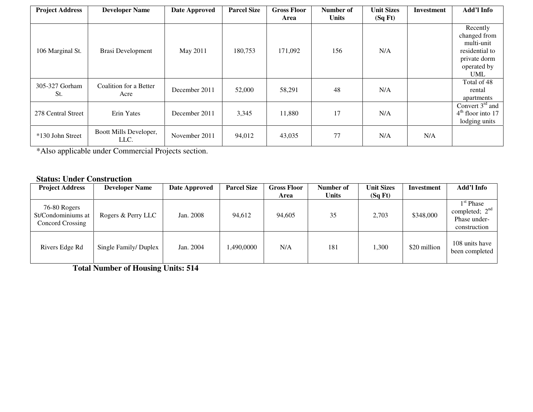| <b>Project Address</b> | <b>Developer Name</b>          | Date Approved | <b>Parcel Size</b> | <b>Gross Floor</b> | Number of    | <b>Unit Sizes</b> | <b>Investment</b> | Add'l Info                                                                                            |
|------------------------|--------------------------------|---------------|--------------------|--------------------|--------------|-------------------|-------------------|-------------------------------------------------------------------------------------------------------|
|                        |                                |               |                    | Area               | <b>Units</b> | (SqFt)            |                   |                                                                                                       |
| 106 Marginal St.       | <b>Brasi Development</b>       | May 2011      | 180,753            | 171,092            | 156          | N/A               |                   | Recently<br>changed from<br>multi-unit<br>residential to<br>private dorm<br>operated by<br><b>UML</b> |
| 305-327 Gorham<br>St.  | Coalition for a Better<br>Acre | December 2011 | 52,000             | 58,291             | 48           | N/A               |                   | Total of 48<br>rental<br>apartments                                                                   |
| 278 Central Street     | Erin Yates                     | December 2011 | 3,345              | 11,880             | 17           | N/A               |                   | Convert $3rd$ and<br>$4th$ floor into 17<br>lodging units                                             |
| *130 John Street       | Boott Mills Developer,<br>LLC. | November 2011 | 94,012             | 43,035             | 77           | N/A               | N/A               |                                                                                                       |

\*Also applicable under Commercial Projects section.

#### **Status: Under Construction**

| <b>Project Address</b>                                        | <b>Developer Name</b> | Date Approved | <b>Parcel Size</b> | <b>Gross Floor</b> | Number of    | <b>Unit Sizes</b> | Investment   | Add'l Info                                                      |
|---------------------------------------------------------------|-----------------------|---------------|--------------------|--------------------|--------------|-------------------|--------------|-----------------------------------------------------------------|
|                                                               |                       |               |                    | Area               | <b>Units</b> | (SqFt)            |              |                                                                 |
| 76-80 Rogers<br>St/Condominiums at<br><b>Concord Crossing</b> | Rogers & Perry LLC    | Jan. 2008     | 94,612             | 94,605             | 35           | 2,703             | \$348,000    | $1st$ Phase<br>completed; $2nd$<br>Phase under-<br>construction |
| Rivers Edge Rd                                                | Single Family/Duplex  | Jan. 2004     | 1,490,0000         | N/A                | 181          | 1,300             | \$20 million | 108 units have<br>been completed                                |

 **Total Number of Housing Units: 514**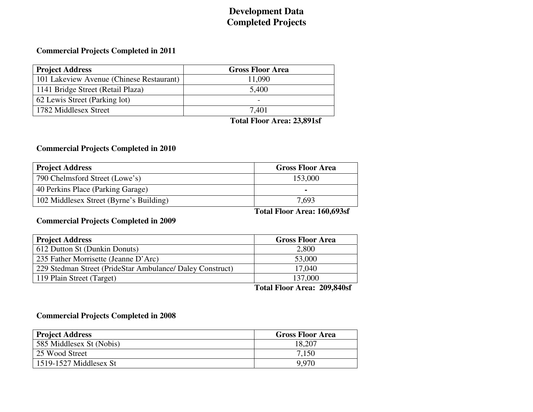# **Development Data Completed Projects**

## **Commercial Projects Completed in 2011**

| <b>Project Address</b>                   | <b>Gross Floor Area</b> |
|------------------------------------------|-------------------------|
| 101 Lakeview Avenue (Chinese Restaurant) | 11,090                  |
| 1141 Bridge Street (Retail Plaza)        | 5,400                   |
| 62 Lewis Street (Parking lot)            |                         |
| 1782 Middlesex Street                    | 7.401                   |

**Total Floor Area: 23,891sf** 

#### **Commercial Projects Completed in 2010**

| <b>Project Address</b>                  | <b>Gross Floor Area</b> |
|-----------------------------------------|-------------------------|
| 790 Chelmsford Street (Lowe's)          | 153,000                 |
| 40 Perkins Place (Parking Garage)       | -                       |
| 102 Middlesex Street (Byrne's Building) | 7,693                   |

 **Total Floor Area: 160,693sf** 

#### **Commercial Projects Completed in 2009**

| <b>Project Address</b>                                    | <b>Gross Floor Area</b> |
|-----------------------------------------------------------|-------------------------|
| 612 Dutton St (Dunkin Donuts)                             | 2,800                   |
| 235 Father Morrisette (Jeanne D'Arc)                      | 53,000                  |
| 229 Stedman Street (PrideStar Ambulance/ Daley Construct) | 17,040                  |
| 119 Plain Street (Target)                                 | 137,000                 |

 **Total Floor Area: 209,840sf** 

### **Commercial Projects Completed in 2008**

| <b>Project Address</b>   | <b>Gross Floor Area</b> |
|--------------------------|-------------------------|
| 585 Middlesex St (Nobis) | 18,207                  |
| 25 Wood Street           | 7,150                   |
| $1519-1527$ Middlesex St | 9.970                   |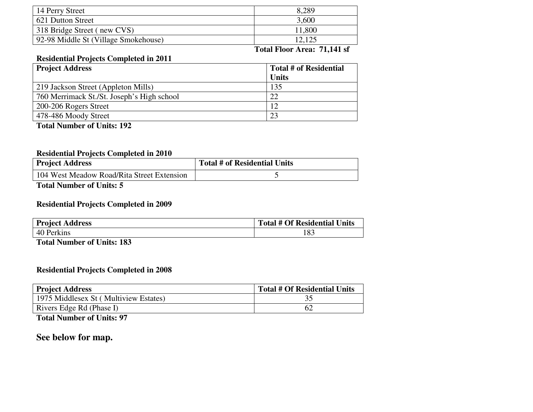| 14 Perry Street                      | 8,289  |
|--------------------------------------|--------|
| 621 Dutton Street                    | 3,600  |
| 318 Bridge Street (new CVS)          | 11,800 |
| 92-98 Middle St (Village Smokehouse) | 12,125 |

### **Total Floor Area: 71,141 sf**

#### **Residential Projects Completed in 2011**

| <b>Project Address</b>                     | <b>Total # of Residential</b> |  |  |
|--------------------------------------------|-------------------------------|--|--|
|                                            | <b>Units</b>                  |  |  |
| 219 Jackson Street (Appleton Mills)        | 135                           |  |  |
| 760 Merrimack St./St. Joseph's High school | 22                            |  |  |
| 200-206 Rogers Street                      | 12                            |  |  |
| $\vert$ 478-486 Moody Street               | 23                            |  |  |
|                                            |                               |  |  |

**Total Number of Units: 192** 

#### **Residential Projects Completed in 2010**

| <b>Project Address</b>                     | Total # of Residential Units |
|--------------------------------------------|------------------------------|
| 104 West Meadow Road/Rita Street Extension |                              |

**Total Number of Units: 5** 

#### **Residential Projects Completed in 2009**

| <b>Project Address</b> | <b>Total # Of Residential Units</b> |
|------------------------|-------------------------------------|
| 40 Perkins             | 183                                 |
| --- - - - - -<br>___   |                                     |

**Total Number of Units: 183** 

### **Residential Projects Completed in 2008**

| <b>Project Address</b>                | <b>Total # Of Residential Units</b> |
|---------------------------------------|-------------------------------------|
| 1975 Middlesex St (Multiview Estates) |                                     |
| Rivers Edge Rd (Phase I)              |                                     |
|                                       |                                     |

**Total Number of Units: 97** 

**See below for map.**